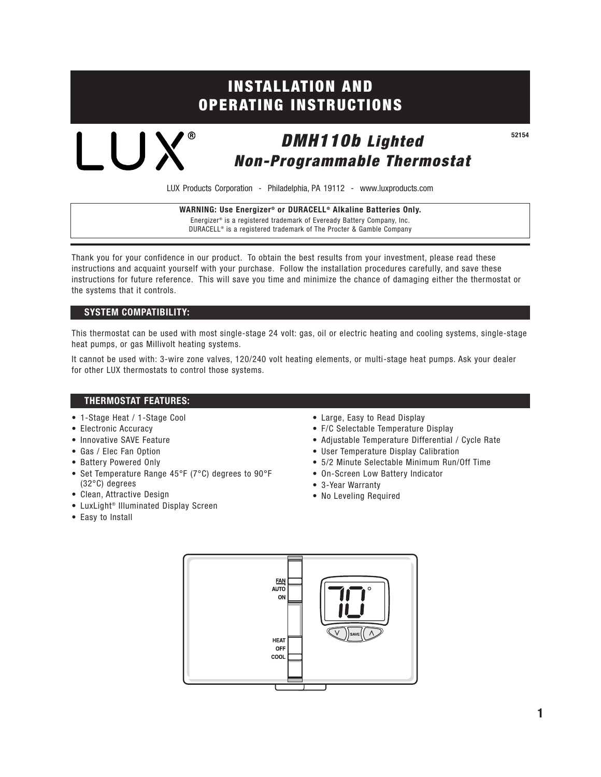# **INSTALLATION AND OPERATING INSTRUCTIONS**

*DMH110b Lighted Non-Programmable Thermostat*

LUX Products Corporation - Philadelphia, PA 19112 - www.luxproducts.com

**WARNING: Use Energizer® or DURACELL® Alkaline Batteries Only.** Energizer® is a registered trademark of Eveready Battery Company, Inc. DURACELL® is a registered trademark of The Procter & Gamble Company

Thank you for your confidence in our product. To obtain the best results from your investment, please read these instructions and acquaint yourself with your purchase. Follow the installation procedures carefully, and save these instructions for future reference. This will save you time and minimize the chance of damaging either the thermostat or the systems that it controls.

## **SYSTEM COMPATIBILITY:**

LUX®

This thermostat can be used with most single-stage 24 volt: gas, oil or electric heating and cooling systems, single-stage heat pumps, or gas Millivolt heating systems.

It cannot be used with: 3-wire zone valves, 120/240 volt heating elements, or multi-stage heat pumps. Ask your dealer for other LUX thermostats to control those systems.

## **THERMOSTAT FEATURES:**

- 1-Stage Heat / 1-Stage Cool
- Electronic Accuracy
- Innovative SAVE Feature
- Gas / Elec Fan Option
- Battery Powered Only
- Set Temperature Range 45°F (7°C) degrees to 90°F (32°C) degrees
- Clean, Attractive Design
- LuxLight® Illuminated Display Screen
- Easy to Install
- Large, Easy to Read Display
- F/C Selectable Temperature Display
- Adjustable Temperature Differential / Cycle Rate
- User Temperature Display Calibration
- 5/2 Minute Selectable Minimum Run/Off Time
- On-Screen Low Battery Indicator
- 3-Year Warranty
- No Leveling Required



**52154**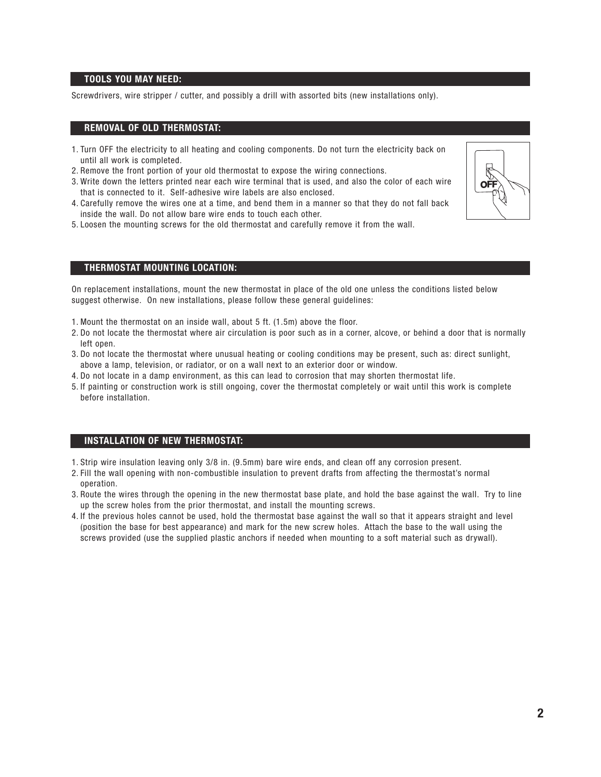## **TOOLS YOU MAY NEED:**

Screwdrivers, wire stripper / cutter, and possibly a drill with assorted bits (new installations only).

#### **REMOVAL OF OLD THERMOSTAT:**

- 1. Turn OFF the electricity to all heating and cooling components. Do not turn the electricity back on until all work is completed.
- 2. Remove the front portion of your old thermostat to expose the wiring connections.
- 3. Write down the letters printed near each wire terminal that is used, and also the color of each wire that is connected to it. Self-adhesive wire labels are also enclosed.
- 4. Carefully remove the wires one at a time, and bend them in a manner so that they do not fall back inside the wall. Do not allow bare wire ends to touch each other.
- 5. Loosen the mounting screws for the old thermostat and carefully remove it from the wall.



#### **THERMOSTAT MOUNTING LOCATION:**

On replacement installations, mount the new thermostat in place of the old one unless the conditions listed below suggest otherwise. On new installations, please follow these general guidelines:

- 1. Mount the thermostat on an inside wall, about 5 ft. (1.5m) above the floor.
- 2. Do not locate the thermostat where air circulation is poor such as in a corner, alcove, or behind a door that is normally left open.
- 3. Do not locate the thermostat where unusual heating or cooling conditions may be present, such as: direct sunlight, above a lamp, television, or radiator, or on a wall next to an exterior door or window.
- 4. Do not locate in a damp environment, as this can lead to corrosion that may shorten thermostat life.
- 5. If painting or construction work is still ongoing, cover the thermostat completely or wait until this work is complete before installation.

#### **INSTALLATION OF NEW THERMOSTAT:**

- 1. Strip wire insulation leaving only 3/8 in. (9.5mm) bare wire ends, and clean off any corrosion present.
- 2. Fill the wall opening with non-combustible insulation to prevent drafts from affecting the thermostat's normal operation.
- 3. Route the wires through the opening in the new thermostat base plate, and hold the base against the wall. Try to line up the screw holes from the prior thermostat, and install the mounting screws.
- 4. If the previous holes cannot be used, hold the thermostat base against the wall so that it appears straight and level (position the base for best appearance) and mark for the new screw holes. Attach the base to the wall using the screws provided (use the supplied plastic anchors if needed when mounting to a soft material such as drywall).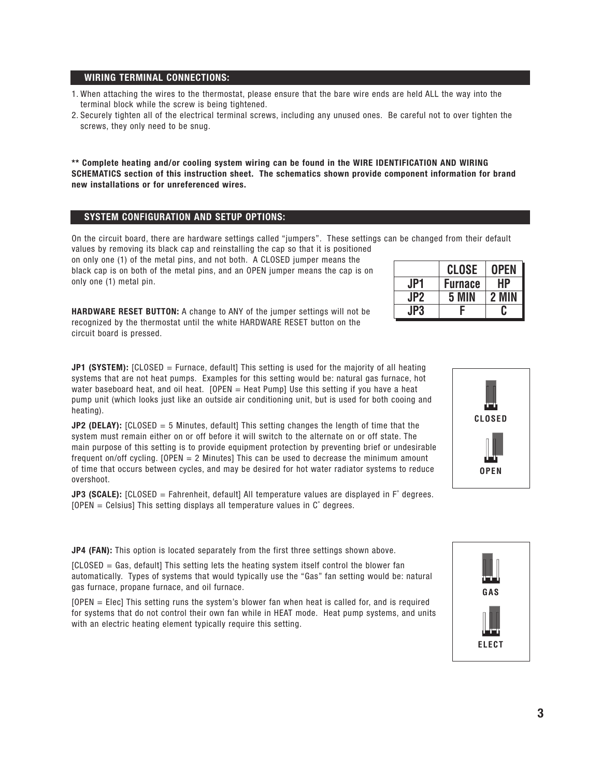- 1. When attaching the wires to the thermostat, please ensure that the bare wire ends are held ALL the way into the terminal block while the screw is being tightened.
- 2. Securely tighten all of the electrical terminal screws, including any unused ones. Be careful not to over tighten the screws, they only need to be snug.

**\*\* Complete heating and/or cooling system wiring can be found in the WIRE IDENTIFICATION AND WIRING SCHEMATICS section of this instruction sheet. The schematics shown provide component information for brand new installations or for unreferenced wires.**

#### **SYSTEM CONFIGURATION AND SETUP OPTIONS:**

On the circuit board, there are hardware settings called "jumpers". These settings can be changed from their default values by removing its black cap and reinstalling the cap so that it is positioned on only one (1) of the metal pins, and not both. A CLOSED jumper means the

black cap is on both of the metal pins, and an OPEN jumper means the cap is on only one (1) metal pin.

**HARDWARE RESET BUTTON:** A change to ANY of the jumper settings will not be recognized by the thermostat until the white HARDWARE RESET button on the circuit board is pressed.

| <b>JP1 (SYSTEM):</b> [CLOSED = Furnace, default] This setting is used for the majority of all heating |
|-------------------------------------------------------------------------------------------------------|
| systems that are not heat pumps. Examples for this setting would be: natural gas furnace, hot         |
| water baseboard heat, and oil heat. $[OPEN = Heat Pump]$ Use this setting if you have a heat          |
| pump unit (which looks just like an outside air conditioning unit, but is used for both cooing and    |
| heating).                                                                                             |

**JP2 (DELAY):** [CLOSED = 5 Minutes, default] This setting changes the length of time that the system must remain either on or off before it will switch to the alternate on or off state. The main purpose of this setting is to provide equipment protection by preventing brief or undesirable frequent on/off cycling. [OPEN = 2 Minutes] This can be used to decrease the minimum amount of time that occurs between cycles, and may be desired for hot water radiator systems to reduce overshoot.

**JP3 (SCALE):** [CLOSED = Fahrenheit, default] All temperature values are displayed in F° degrees.  $[OPEN = Celsius]$  This setting displays all temperature values in  $C^{\circ}$  degrees.

**JP4 (FAN):** This option is located separately from the first three settings shown above.

[CLOSED = Gas, default] This setting lets the heating system itself control the blower fan automatically. Types of systems that would typically use the "Gas" fan setting would be: natural gas furnace, propane furnace, and oil furnace.

[OPEN = Elec] This setting runs the system's blower fan when heat is called for, and is required for systems that do not control their own fan while in HEAT mode. Heat pump systems, and units with an electric heating element typically require this setting.

|     | <b>CLOSE</b>   | OPEN |
|-----|----------------|------|
| JPI | <b>Furnace</b> | НΡ   |
| JP2 | 5 I            |      |
| JP3 | c              |      |



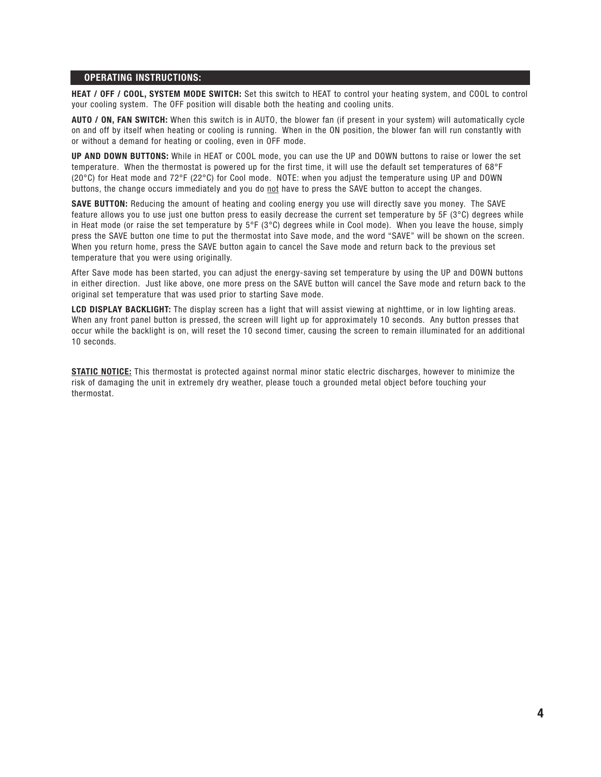#### **OPERATING INSTRUCTIONS:**

**HEAT / OFF / COOL, SYSTEM MODE SWITCH:** Set this switch to HEAT to control your heating system, and COOL to control your cooling system. The OFF position will disable both the heating and cooling units.

**AUTO / ON, FAN SWITCH:** When this switch is in AUTO, the blower fan (if present in your system) will automatically cycle on and off by itself when heating or cooling is running. When in the ON position, the blower fan will run constantly with or without a demand for heating or cooling, even in OFF mode.

**UP AND DOWN BUTTONS:** While in HEAT or COOL mode, you can use the UP and DOWN buttons to raise or lower the set temperature. When the thermostat is powered up for the first time, it will use the default set temperatures of 68°F (20°C) for Heat mode and 72°F (22°C) for Cool mode. NOTE: when you adjust the temperature using UP and DOWN buttons, the change occurs immediately and you do not have to press the SAVE button to accept the changes.

**SAVE BUTTON:** Reducing the amount of heating and cooling energy you use will directly save you money. The SAVE feature allows you to use just one button press to easily decrease the current set temperature by 5F (3°C) degrees while in Heat mode (or raise the set temperature by  $5^{\circ}F$  ( $3^{\circ}C$ ) degrees while in Cool mode). When you leave the house, simply press the SAVE button one time to put the thermostat into Save mode, and the word "SAVE" will be shown on the screen. When you return home, press the SAVE button again to cancel the Save mode and return back to the previous set temperature that you were using originally.

After Save mode has been started, you can adjust the energy-saving set temperature by using the UP and DOWN buttons in either direction. Just like above, one more press on the SAVE button will cancel the Save mode and return back to the original set temperature that was used prior to starting Save mode.

**LCD DISPLAY BACKLIGHT:** The display screen has a light that will assist viewing at nighttime, or in low lighting areas. When any front panel button is pressed, the screen will light up for approximately 10 seconds. Any button presses that occur while the backlight is on, will reset the 10 second timer, causing the screen to remain illuminated for an additional 10 seconds.

**STATIC NOTICE:** This thermostat is protected against normal minor static electric discharges, however to minimize the risk of damaging the unit in extremely dry weather, please touch a grounded metal object before touching your thermostat.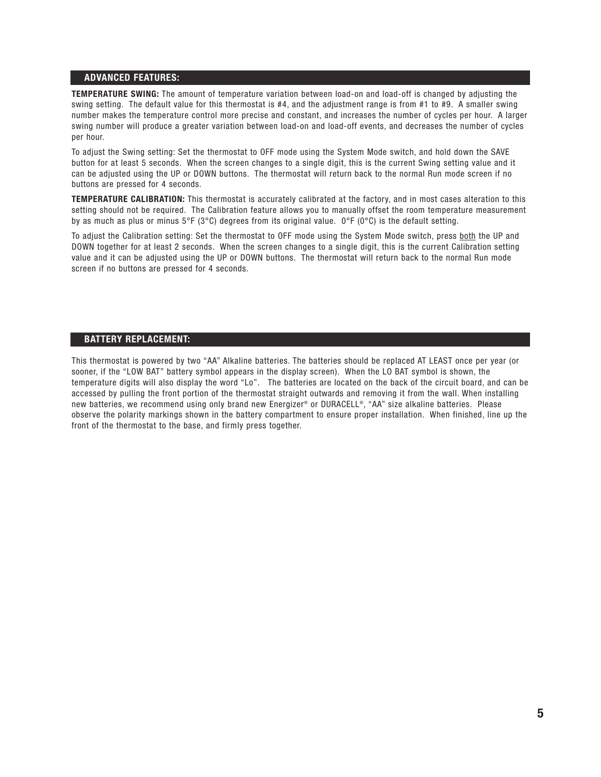## **ADVANCED FEATURES:**

**TEMPERATURE SWING:** The amount of temperature variation between load-on and load-off is changed by adjusting the swing setting. The default value for this thermostat is #4, and the adjustment range is from #1 to #9. A smaller swing number makes the temperature control more precise and constant, and increases the number of cycles per hour. A larger swing number will produce a greater variation between load-on and load-off events, and decreases the number of cycles per hour.

To adjust the Swing setting: Set the thermostat to OFF mode using the System Mode switch, and hold down the SAVE button for at least 5 seconds. When the screen changes to a single digit, this is the current Swing setting value and it can be adjusted using the UP or DOWN buttons. The thermostat will return back to the normal Run mode screen if no buttons are pressed for 4 seconds.

**TEMPERATURE CALIBRATION:** This thermostat is accurately calibrated at the factory, and in most cases alteration to this setting should not be required. The Calibration feature allows you to manually offset the room temperature measurement by as much as plus or minus 5°F (3°C) degrees from its original value. 0°F (0°C) is the default setting.

To adjust the Calibration setting: Set the thermostat to OFF mode using the System Mode switch, press both the UP and DOWN together for at least 2 seconds. When the screen changes to a single digit, this is the current Calibration setting value and it can be adjusted using the UP or DOWN buttons. The thermostat will return back to the normal Run mode screen if no buttons are pressed for 4 seconds.

## **BATTERY REPLACEMENT:**

This thermostat is powered by two "AA" Alkaline batteries. The batteries should be replaced AT LEAST once per year (or sooner, if the "LOW BAT" battery symbol appears in the display screen). When the LO BAT symbol is shown, the temperature digits will also display the word "Lo". The batteries are located on the back of the circuit board, and can be accessed by pulling the front portion of the thermostat straight outwards and removing it from the wall. When installing new batteries, we recommend using only brand new Energizer® or DURACELL®, "AA" size alkaline batteries. Please observe the polarity markings shown in the battery compartment to ensure proper installation. When finished, line up the front of the thermostat to the base, and firmly press together.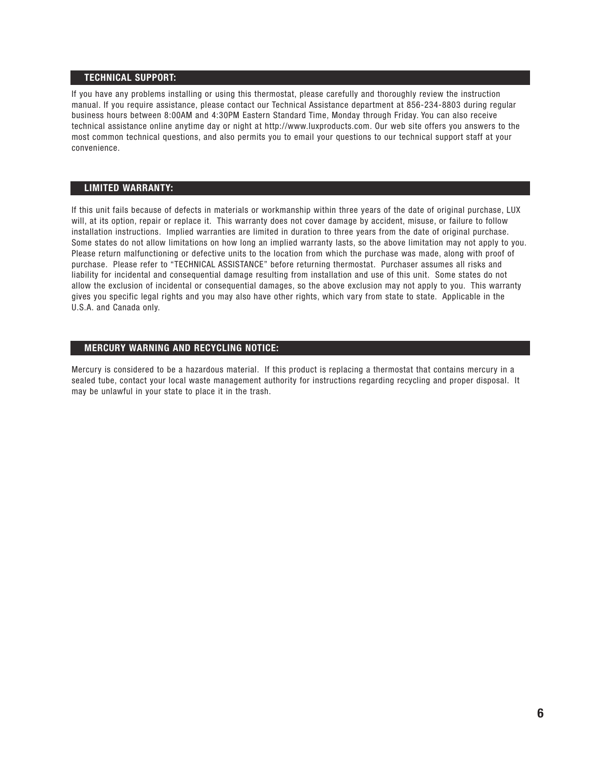## **TECHNICAL SUPPORT:**

If you have any problems installing or using this thermostat, please carefully and thoroughly review the instruction manual. If you require assistance, please contact our Technical Assistance department at 856-234-8803 during regular business hours between 8:00AM and 4:30PM Eastern Standard Time, Monday through Friday. You can also receive technical assistance online anytime day or night at http://www.luxproducts.com. Our web site offers you answers to the most common technical questions, and also permits you to email your questions to our technical support staff at your convenience.

## **LIMITED WARRANTY:**

If this unit fails because of defects in materials or workmanship within three years of the date of original purchase, LUX will, at its option, repair or replace it. This warranty does not cover damage by accident, misuse, or failure to follow installation instructions. Implied warranties are limited in duration to three years from the date of original purchase. Some states do not allow limitations on how long an implied warranty lasts, so the above limitation may not apply to you. Please return malfunctioning or defective units to the location from which the purchase was made, along with proof of purchase. Please refer to "TECHNICAL ASSISTANCE" before returning thermostat. Purchaser assumes all risks and liability for incidental and consequential damage resulting from installation and use of this unit. Some states do not allow the exclusion of incidental or consequential damages, so the above exclusion may not apply to you. This warranty gives you specific legal rights and you may also have other rights, which vary from state to state. Applicable in the U.S.A. and Canada only.

## **MERCURY WARNING AND RECYCLING NOTICE:**

Mercury is considered to be a hazardous material. If this product is replacing a thermostat that contains mercury in a sealed tube, contact your local waste management authority for instructions regarding recycling and proper disposal. It may be unlawful in your state to place it in the trash.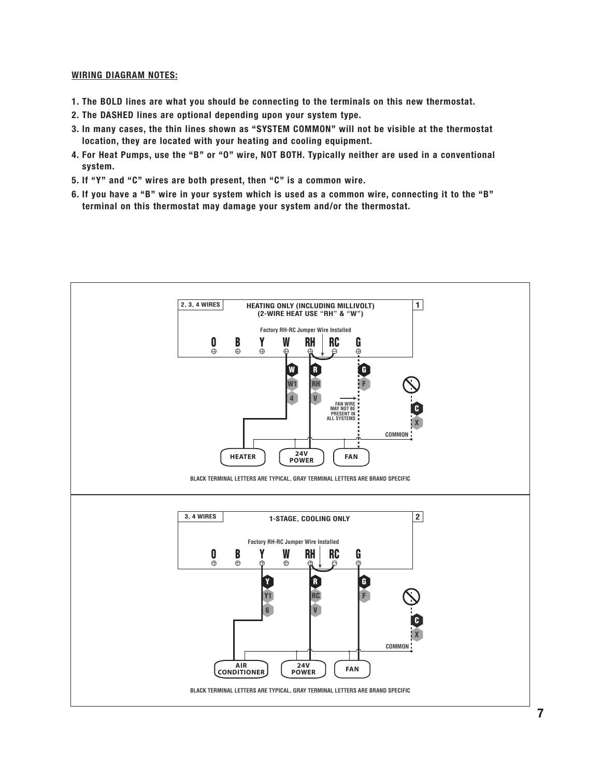#### **WIRING DIAGRAM NOTES:**

- **1. The BOLD lines are what you should be connecting to the terminals on this new thermostat.**
- **2. The DASHED lines are optional depending upon your system type.**
- **3. In many cases, the thin lines shown as "SYSTEM COMMON" will not be visible at the thermostat location, they are located with your heating and cooling equipment.**
- **4. For Heat Pumps, use the "B" or "O" wire, NOT BOTH. Typically neither are used in a conventional system.**
- **5. If "Y" and "C" wires are both present, then "C" is a common wire.**
- **6. If you have a "B" wire in your system which is used as a common wire, connecting it to the "B" terminal on this thermostat may damage your system and/or the thermostat.**